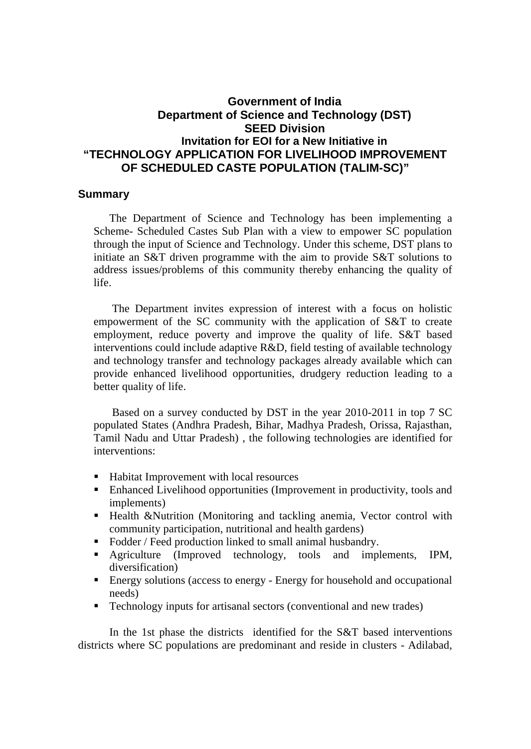## **Government of India Department of Science and Technology (DST) SEED Division Invitation for EOI for a New Initiative in "TECHNOLOGY APPLICATION FOR LIVELIHOOD IMPROVEMENT OF SCHEDULED CASTE POPULATION (TALIM-SC)"**

## **Summary**

The Department of Science and Technology has been implementing a Scheme- Scheduled Castes Sub Plan with a view to empower SC population through the input of Science and Technology. Under this scheme, DST plans to initiate an S&T driven programme with the aim to provide S&T solutions to address issues/problems of this community thereby enhancing the quality of life.

The Department invites expression of interest with a focus on holistic empowerment of the SC community with the application of S&T to create employment, reduce poverty and improve the quality of life. S&T based interventions could include adaptive R&D, field testing of available technology and technology transfer and technology packages already available which can provide enhanced livelihood opportunities, drudgery reduction leading to a better quality of life.

Based on a survey conducted by DST in the year 2010-2011 in top 7 SC populated States (Andhra Pradesh, Bihar, Madhya Pradesh, Orissa, Rajasthan, Tamil Nadu and Uttar Pradesh) , the following technologies are identified for interventions:

- Habitat Improvement with local resources
- Enhanced Livelihood opportunities (Improvement in productivity, tools and implements)
- **Health &Nutrition (Monitoring and tackling anemia, Vector control with** community participation, nutritional and health gardens)
- Fodder / Feed production linked to small animal husbandry.
- Agriculture (Improved technology, tools and implements, IPM, diversification)
- Energy solutions (access to energy Energy for household and occupational needs)
- Technology inputs for artisanal sectors (conventional and new trades)

In the 1st phase the districts identified for the S&T based interventions districts where SC populations are predominant and reside in clusters - Adilabad,